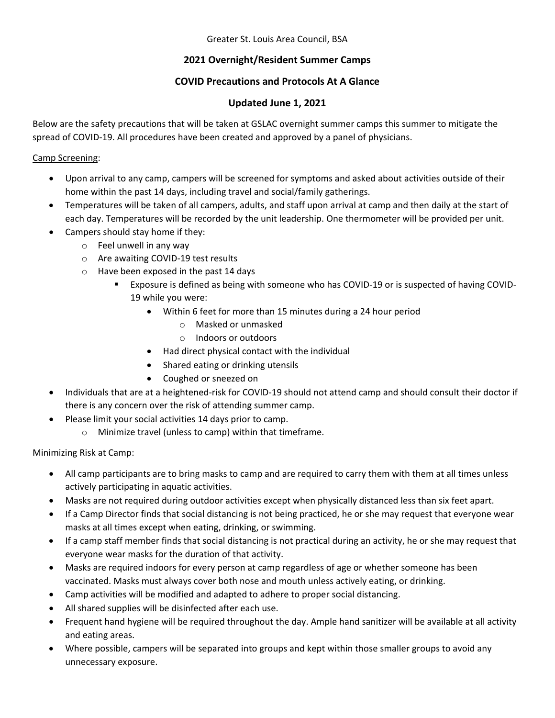Greater St. Louis Area Council, BSA

# **2021 Overnight/Resident Summer Camps**

## **COVID Precautions and Protocols At A Glance**

### **Updated June 1, 2021**

Below are the safety precautions that will be taken at GSLAC overnight summer camps this summer to mitigate the spread of COVID‐19. All procedures have been created and approved by a panel of physicians.

#### Camp Screening:

- Upon arrival to any camp, campers will be screened for symptoms and asked about activities outside of their home within the past 14 days, including travel and social/family gatherings.
- Temperatures will be taken of all campers, adults, and staff upon arrival at camp and then daily at the start of each day. Temperatures will be recorded by the unit leadership. One thermometer will be provided per unit.
- Campers should stay home if they:
	- o Feel unwell in any way
	- o Are awaiting COVID‐19 test results
	- o Have been exposed in the past 14 days
		- Exposure is defined as being with someone who has COVID-19 or is suspected of having COVID-19 while you were:
			- Within 6 feet for more than 15 minutes during a 24 hour period
				- o Masked or unmasked
				- o Indoors or outdoors
			- Had direct physical contact with the individual
			- Shared eating or drinking utensils
			- Coughed or sneezed on
- Individuals that are at a heightened-risk for COVID-19 should not attend camp and should consult their doctor if there is any concern over the risk of attending summer camp.
- Please limit your social activities 14 days prior to camp.
	- o Minimize travel (unless to camp) within that timeframe.

### Minimizing Risk at Camp:

- All camp participants are to bring masks to camp and are required to carry them with them at all times unless actively participating in aquatic activities.
- Masks are not required during outdoor activities except when physically distanced less than six feet apart.
- If a Camp Director finds that social distancing is not being practiced, he or she may request that everyone wear masks at all times except when eating, drinking, or swimming.
- If a camp staff member finds that social distancing is not practical during an activity, he or she may request that everyone wear masks for the duration of that activity.
- Masks are required indoors for every person at camp regardless of age or whether someone has been vaccinated. Masks must always cover both nose and mouth unless actively eating, or drinking.
- Camp activities will be modified and adapted to adhere to proper social distancing.
- All shared supplies will be disinfected after each use.
- Frequent hand hygiene will be required throughout the day. Ample hand sanitizer will be available at all activity and eating areas.
- Where possible, campers will be separated into groups and kept within those smaller groups to avoid any unnecessary exposure.